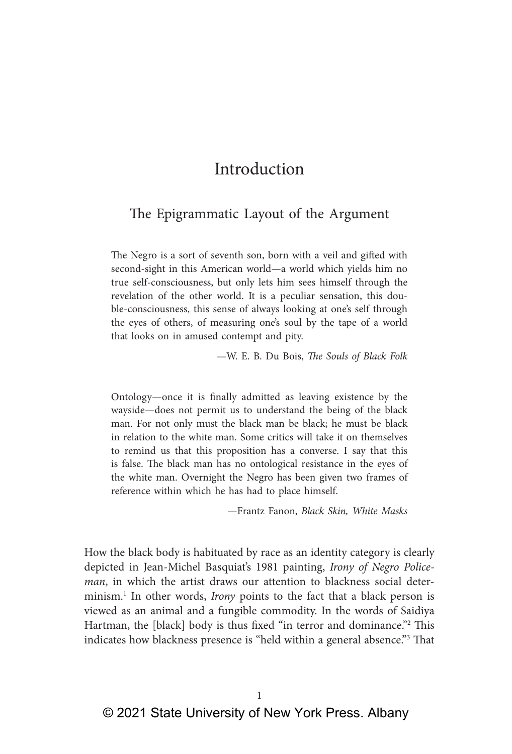# Introduction

# The Epigrammatic Layout of the Argument

The Negro is a sort of seventh son, born with a veil and gifted with second-sight in this American world—a world which yields him no true self-consciousness, but only lets him sees himself through the revelation of the other world. It is a peculiar sensation, this double-consciousness, this sense of always looking at one's self through the eyes of others, of measuring one's soul by the tape of a world that looks on in amused contempt and pity.

—W. E. B. Du Bois, *The Souls of Black Folk*

Ontology—once it is finally admitted as leaving existence by the wayside—does not permit us to understand the being of the black man. For not only must the black man be black; he must be black in relation to the white man. Some critics will take it on themselves to remind us that this proposition has a converse. I say that this is false. The black man has no ontological resistance in the eyes of the white man. Overnight the Negro has been given two frames of reference within which he has had to place himself.

—Frantz Fanon, *Black Skin, White Masks*

How the black body is habituated by race as an identity category is clearly depicted in Jean-Michel Basquiat's 1981 painting, *Irony of Negro Policeman*, in which the artist draws our attention to blackness social determinism.<sup>1</sup> In other words, *Irony* points to the fact that a black person is viewed as an animal and a fungible commodity. In the words of Saidiya Hartman, the [black] body is thus fixed "in terror and dominance."<sup>2</sup> This indicates how blackness presence is "held within a general absence."3 That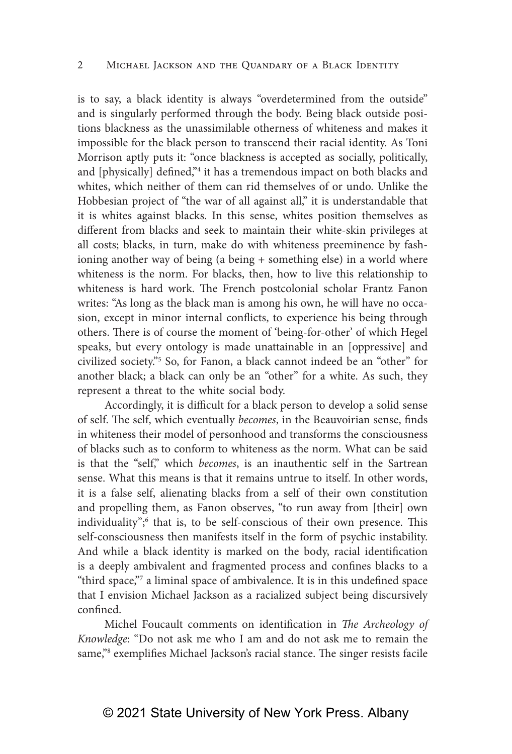is to say, a black identity is always "overdetermined from the outside" and is singularly performed through the body. Being black outside positions blackness as the unassimilable otherness of whiteness and makes it impossible for the black person to transcend their racial identity. As Toni Morrison aptly puts it: "once blackness is accepted as socially, politically, and [physically] defined,"4 it has a tremendous impact on both blacks and whites, which neither of them can rid themselves of or undo. Unlike the Hobbesian project of "the war of all against all," it is understandable that it is whites against blacks. In this sense, whites position themselves as different from blacks and seek to maintain their white-skin privileges at all costs; blacks, in turn, make do with whiteness preeminence by fashioning another way of being (a being + something else) in a world where whiteness is the norm. For blacks, then, how to live this relationship to whiteness is hard work. The French postcolonial scholar Frantz Fanon writes: "As long as the black man is among his own, he will have no occasion, except in minor internal conflicts, to experience his being through others. There is of course the moment of 'being-for-other' of which Hegel speaks, but every ontology is made unattainable in an [oppressive] and civilized society."5 So, for Fanon, a black cannot indeed be an "other" for another black; a black can only be an "other" for a white. As such, they represent a threat to the white social body.

Accordingly, it is difficult for a black person to develop a solid sense of self. The self, which eventually *becomes*, in the Beauvoirian sense, finds in whiteness their model of personhood and transforms the consciousness of blacks such as to conform to whiteness as the norm. What can be said is that the "self," which *becomes*, is an inauthentic self in the Sartrean sense. What this means is that it remains untrue to itself. In other words, it is a false self, alienating blacks from a self of their own constitution and propelling them, as Fanon observes, "to run away from [their] own individuality";<sup>6</sup> that is, to be self-conscious of their own presence. This self-consciousness then manifests itself in the form of psychic instability. And while a black identity is marked on the body, racial identification is a deeply ambivalent and fragmented process and confines blacks to a "third space,"7 a liminal space of ambivalence. It is in this undefined space that I envision Michael Jackson as a racialized subject being discursively confined.

Michel Foucault comments on identification in *The Archeology of Knowledge*: "Do not ask me who I am and do not ask me to remain the same,"<sup>8</sup> exemplifies Michael Jackson's racial stance. The singer resists facile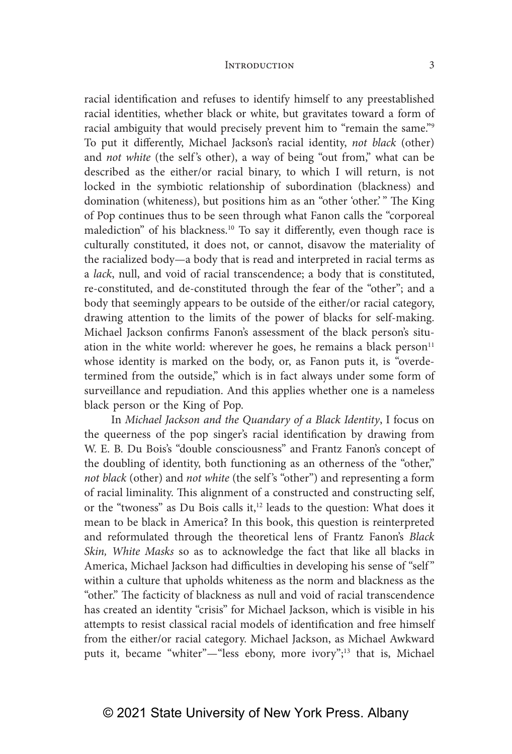racial identification and refuses to identify himself to any preestablished racial identities, whether black or white, but gravitates toward a form of racial ambiguity that would precisely prevent him to "remain the same."9 To put it differently, Michael Jackson's racial identity, *not black* (other) and *not white* (the self's other), a way of being "out from," what can be described as the either/or racial binary, to which I will return, is not locked in the symbiotic relationship of subordination (blackness) and domination (whiteness), but positions him as an "other 'other.' " The King of Pop continues thus to be seen through what Fanon calls the "corporeal malediction" of his blackness.<sup>10</sup> To say it differently, even though race is culturally constituted, it does not, or cannot, disavow the materiality of the racialized body—a body that is read and interpreted in racial terms as a *lack*, null, and void of racial transcendence; a body that is constituted, re-constituted, and de-constituted through the fear of the "other"; and a body that seemingly appears to be outside of the either/or racial category, drawing attention to the limits of the power of blacks for self-making. Michael Jackson confirms Fanon's assessment of the black person's situation in the white world: wherever he goes, he remains a black person $11$ whose identity is marked on the body, or, as Fanon puts it, is "overdetermined from the outside," which is in fact always under some form of surveillance and repudiation. And this applies whether one is a nameless black person or the King of Pop.

In *Michael Jackson and the Quandary of a Black Identity*, I focus on the queerness of the pop singer's racial identification by drawing from W. E. B. Du Bois's "double consciousness" and Frantz Fanon's concept of the doubling of identity, both functioning as an otherness of the "other," *not black* (other) and *not white* (the self 's "other") and representing a form of racial liminality. This alignment of a constructed and constructing self, or the "twoness" as Du Bois calls it,<sup>12</sup> leads to the question: What does it mean to be black in America? In this book, this question is reinterpreted and reformulated through the theoretical lens of Frantz Fanon's *Black Skin, White Masks* so as to acknowledge the fact that like all blacks in America, Michael Jackson had difficulties in developing his sense of "self " within a culture that upholds whiteness as the norm and blackness as the "other." The facticity of blackness as null and void of racial transcendence has created an identity "crisis" for Michael Jackson, which is visible in his attempts to resist classical racial models of identification and free himself from the either/or racial category. Michael Jackson, as Michael Awkward puts it, became "whiter"-"less ebony, more ivory";<sup>13</sup> that is, Michael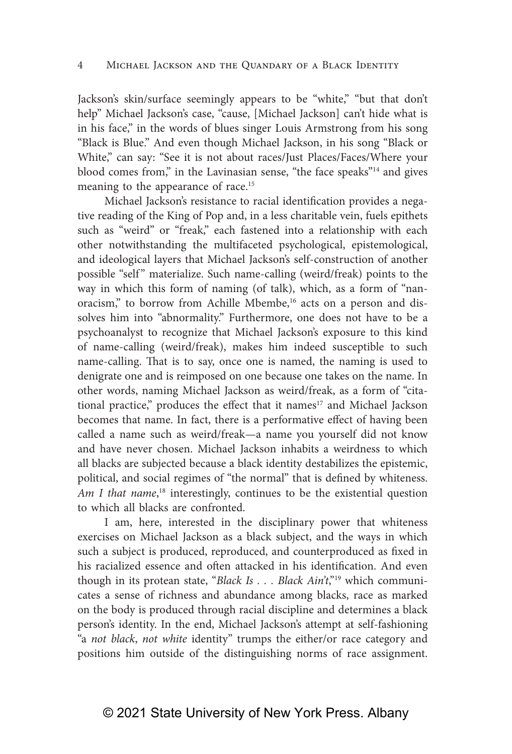Jackson's skin/surface seemingly appears to be "white," "but that don't help" Michael Jackson's case, "cause, [Michael Jackson] can't hide what is in his face," in the words of blues singer Louis Armstrong from his song "Black is Blue." And even though Michael Jackson, in his song "Black or White," can say: "See it is not about races/Just Places/Faces/Where your blood comes from," in the Lavinasian sense, "the face speaks"14 and gives meaning to the appearance of race.<sup>15</sup>

Michael Jackson's resistance to racial identification provides a negative reading of the King of Pop and, in a less charitable vein, fuels epithets such as "weird" or "freak," each fastened into a relationship with each other notwithstanding the multifaceted psychological, epistemological, and ideological layers that Michael Jackson's self-construction of another possible "self" materialize. Such name-calling (weird/freak) points to the way in which this form of naming (of talk), which, as a form of "nanoracism," to borrow from Achille Mbembe,<sup>16</sup> acts on a person and dissolves him into "abnormality." Furthermore, one does not have to be a psychoanalyst to recognize that Michael Jackson's exposure to this kind of name-calling (weird/freak), makes him indeed susceptible to such name-calling. That is to say, once one is named, the naming is used to denigrate one and is reimposed on one because one takes on the name. In other words, naming Michael Jackson as weird/freak, as a form of "citational practice," produces the effect that it names<sup>17</sup> and Michael Jackson becomes that name. In fact, there is a performative effect of having been called a name such as weird/freak—a name you yourself did not know and have never chosen. Michael Jackson inhabits a weirdness to which all blacks are subjected because a black identity destabilizes the epistemic, political, and social regimes of "the normal" that is defined by whiteness. Am I that name,<sup>18</sup> interestingly, continues to be the existential question to which all blacks are confronted.

I am, here, interested in the disciplinary power that whiteness exercises on Michael Jackson as a black subject, and the ways in which such a subject is produced, reproduced, and counterproduced as fixed in his racialized essence and often attacked in his identification. And even though in its protean state, "*Black Is . . . Black Ain't*,"19 which communicates a sense of richness and abundance among blacks, race as marked on the body is produced through racial discipline and determines a black person's identity. In the end, Michael Jackson's attempt at self-fashioning "a *not black*, *not white* identity" trumps the either/or race category and positions him outside of the distinguishing norms of race assignment.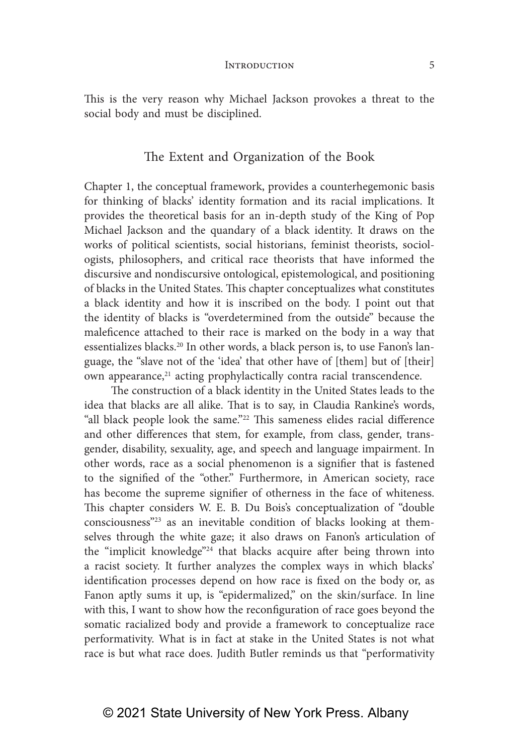This is the very reason why Michael Jackson provokes a threat to the social body and must be disciplined.

### The Extent and Organization of the Book

Chapter 1, the conceptual framework, provides a counterhegemonic basis for thinking of blacks' identity formation and its racial implications. It provides the theoretical basis for an in-depth study of the King of Pop Michael Jackson and the quandary of a black identity. It draws on the works of political scientists, social historians, feminist theorists, sociologists, philosophers, and critical race theorists that have informed the discursive and nondiscursive ontological, epistemological, and positioning of blacks in the United States. This chapter conceptualizes what constitutes a black identity and how it is inscribed on the body. I point out that the identity of blacks is "overdetermined from the outside" because the maleficence attached to their race is marked on the body in a way that essentializes blacks.<sup>20</sup> In other words, a black person is, to use Fanon's language, the "slave not of the 'idea' that other have of [them] but of [their] own appearance,<sup>21</sup> acting prophylactically contra racial transcendence.

The construction of a black identity in the United States leads to the idea that blacks are all alike. That is to say, in Claudia Rankine's words, "all black people look the same."22 This sameness elides racial difference and other differences that stem, for example, from class, gender, transgender, disability, sexuality, age, and speech and language impairment. In other words, race as a social phenomenon is a signifier that is fastened to the signified of the "other." Furthermore, in American society, race has become the supreme signifier of otherness in the face of whiteness. This chapter considers W. E. B. Du Bois's conceptualization of "double consciousness"23 as an inevitable condition of blacks looking at themselves through the white gaze; it also draws on Fanon's articulation of the "implicit knowledge"24 that blacks acquire after being thrown into a racist society. It further analyzes the complex ways in which blacks' identification processes depend on how race is fixed on the body or, as Fanon aptly sums it up, is "epidermalized," on the skin/surface. In line with this, I want to show how the reconfiguration of race goes beyond the somatic racialized body and provide a framework to conceptualize race performativity. What is in fact at stake in the United States is not what race is but what race does. Judith Butler reminds us that "performativity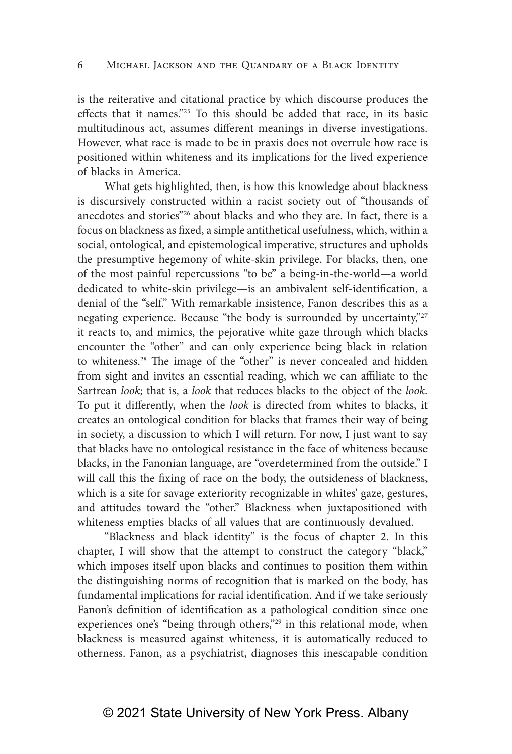is the reiterative and citational practice by which discourse produces the effects that it names."25 To this should be added that race, in its basic multitudinous act, assumes different meanings in diverse investigations. However, what race is made to be in praxis does not overrule how race is positioned within whiteness and its implications for the lived experience of blacks in America.

What gets highlighted, then, is how this knowledge about blackness is discursively constructed within a racist society out of "thousands of anecdotes and stories"26 about blacks and who they are. In fact, there is a focus on blackness as fixed, a simple antithetical usefulness, which, within a social, ontological, and epistemological imperative, structures and upholds the presumptive hegemony of white-skin privilege. For blacks, then, one of the most painful repercussions "to be" a being-in-the-world—a world dedicated to white-skin privilege—is an ambivalent self-identification, a denial of the "self." With remarkable insistence, Fanon describes this as a negating experience. Because "the body is surrounded by uncertainty,"<sup>27</sup> it reacts to, and mimics, the pejorative white gaze through which blacks encounter the "other" and can only experience being black in relation to whiteness.28 The image of the "other" is never concealed and hidden from sight and invites an essential reading, which we can affiliate to the Sartrean *look*; that is, a *look* that reduces blacks to the object of the *look*. To put it differently, when the *look* is directed from whites to blacks, it creates an ontological condition for blacks that frames their way of being in society, a discussion to which I will return. For now, I just want to say that blacks have no ontological resistance in the face of whiteness because blacks, in the Fanonian language, are "overdetermined from the outside." I will call this the fixing of race on the body, the outsideness of blackness, which is a site for savage exteriority recognizable in whites' gaze, gestures, and attitudes toward the "other." Blackness when juxtapositioned with whiteness empties blacks of all values that are continuously devalued.

"Blackness and black identity" is the focus of chapter 2. In this chapter, I will show that the attempt to construct the category "black," which imposes itself upon blacks and continues to position them within the distinguishing norms of recognition that is marked on the body, has fundamental implications for racial identification. And if we take seriously Fanon's definition of identification as a pathological condition since one experiences one's "being through others,"<sup>29</sup> in this relational mode, when blackness is measured against whiteness, it is automatically reduced to otherness. Fanon, as a psychiatrist, diagnoses this inescapable condition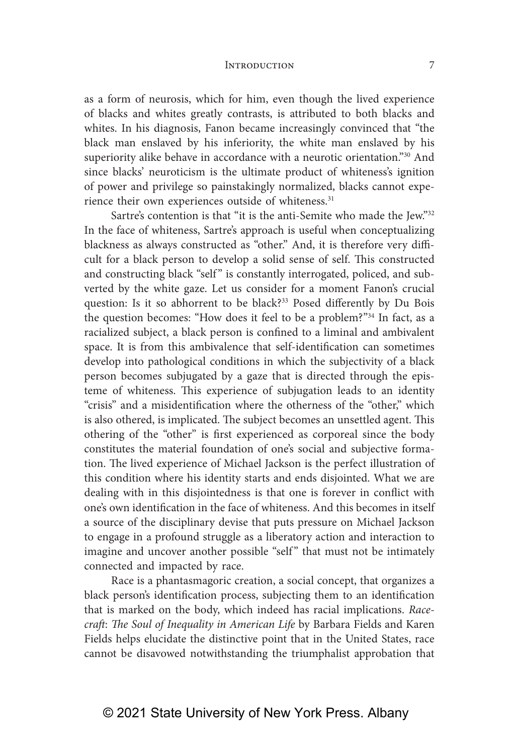as a form of neurosis, which for him, even though the lived experience of blacks and whites greatly contrasts, is attributed to both blacks and whites. In his diagnosis, Fanon became increasingly convinced that "the black man enslaved by his inferiority, the white man enslaved by his superiority alike behave in accordance with a neurotic orientation."30 And since blacks' neuroticism is the ultimate product of whiteness's ignition of power and privilege so painstakingly normalized, blacks cannot experience their own experiences outside of whiteness.<sup>31</sup>

Sartre's contention is that "it is the anti-Semite who made the Jew."<sup>32</sup> In the face of whiteness, Sartre's approach is useful when conceptualizing blackness as always constructed as "other." And, it is therefore very difficult for a black person to develop a solid sense of self. This constructed and constructing black "self" is constantly interrogated, policed, and subverted by the white gaze. Let us consider for a moment Fanon's crucial question: Is it so abhorrent to be black?<sup>33</sup> Posed differently by Du Bois the question becomes: "How does it feel to be a problem?"34 In fact, as a racialized subject, a black person is confined to a liminal and ambivalent space. It is from this ambivalence that self-identification can sometimes develop into pathological conditions in which the subjectivity of a black person becomes subjugated by a gaze that is directed through the episteme of whiteness. This experience of subjugation leads to an identity "crisis" and a misidentification where the otherness of the "other," which is also othered, is implicated. The subject becomes an unsettled agent. This othering of the "other" is first experienced as corporeal since the body constitutes the material foundation of one's social and subjective formation. The lived experience of Michael Jackson is the perfect illustration of this condition where his identity starts and ends disjointed. What we are dealing with in this disjointedness is that one is forever in conflict with one's own identification in the face of whiteness. And this becomes in itself a source of the disciplinary devise that puts pressure on Michael Jackson to engage in a profound struggle as a liberatory action and interaction to imagine and uncover another possible "self" that must not be intimately connected and impacted by race.

Race is a phantasmagoric creation, a social concept, that organizes a black person's identification process, subjecting them to an identification that is marked on the body, which indeed has racial implications. *Racecraft*: *The Soul of Inequality in American Life* by Barbara Fields and Karen Fields helps elucidate the distinctive point that in the United States, race cannot be disavowed notwithstanding the triumphalist approbation that

## © 2021 State University of New York Press. Albany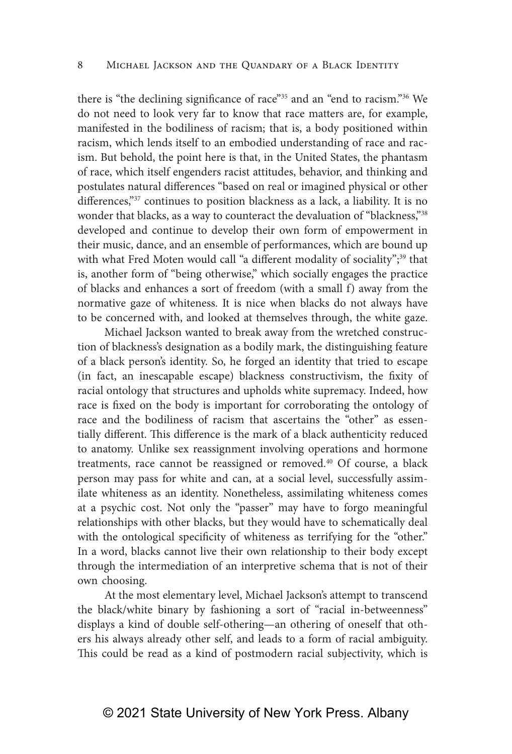there is "the declining significance of race"35 and an "end to racism."36 We do not need to look very far to know that race matters are, for example, manifested in the bodiliness of racism; that is, a body positioned within racism, which lends itself to an embodied understanding of race and racism. But behold, the point here is that, in the United States, the phantasm of race, which itself engenders racist attitudes, behavior, and thinking and postulates natural differences "based on real or imagined physical or other differences,"37 continues to position blackness as a lack, a liability. It is no wonder that blacks, as a way to counteract the devaluation of "blackness,"38 developed and continue to develop their own form of empowerment in their music, dance, and an ensemble of performances, which are bound up with what Fred Moten would call "a different modality of sociality";<sup>39</sup> that is, another form of "being otherwise," which socially engages the practice of blacks and enhances a sort of freedom (with a small f) away from the normative gaze of whiteness. It is nice when blacks do not always have to be concerned with, and looked at themselves through, the white gaze.

Michael Jackson wanted to break away from the wretched construction of blackness's designation as a bodily mark, the distinguishing feature of a black person's identity. So, he forged an identity that tried to escape (in fact, an inescapable escape) blackness constructivism, the fixity of racial ontology that structures and upholds white supremacy. Indeed, how race is fixed on the body is important for corroborating the ontology of race and the bodiliness of racism that ascertains the "other" as essentially different. This difference is the mark of a black authenticity reduced to anatomy. Unlike sex reassignment involving operations and hormone treatments, race cannot be reassigned or removed.<sup>40</sup> Of course, a black person may pass for white and can, at a social level, successfully assimilate whiteness as an identity. Nonetheless, assimilating whiteness comes at a psychic cost. Not only the "passer" may have to forgo meaningful relationships with other blacks, but they would have to schematically deal with the ontological specificity of whiteness as terrifying for the "other." In a word, blacks cannot live their own relationship to their body except through the intermediation of an interpretive schema that is not of their own choosing.

At the most elementary level, Michael Jackson's attempt to transcend the black/white binary by fashioning a sort of "racial in-betweenness" displays a kind of double self-othering—an othering of oneself that others his always already other self, and leads to a form of racial ambiguity. This could be read as a kind of postmodern racial subjectivity, which is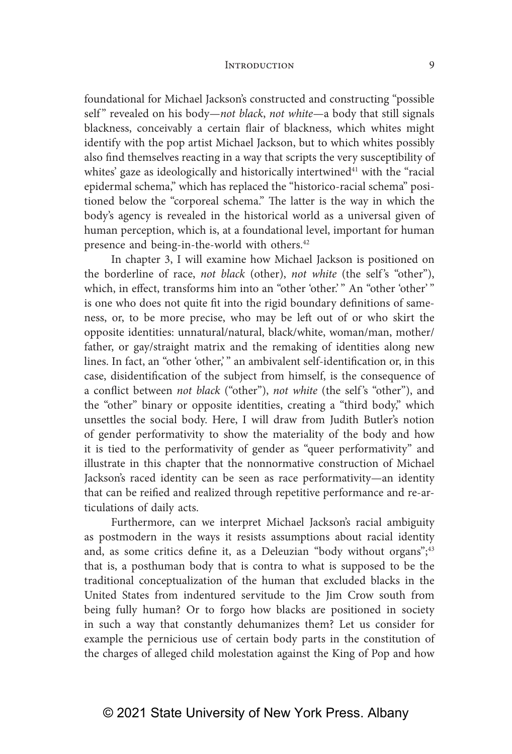foundational for Michael Jackson's constructed and constructing "possible self" revealed on his body—not black, not white—a body that still signals blackness, conceivably a certain flair of blackness, which whites might identify with the pop artist Michael Jackson, but to which whites possibly also find themselves reacting in a way that scripts the very susceptibility of whites' gaze as ideologically and historically intertwined $41$  with the "racial epidermal schema," which has replaced the "historico-racial schema" positioned below the "corporeal schema." The latter is the way in which the body's agency is revealed in the historical world as a universal given of human perception, which is, at a foundational level, important for human presence and being-in-the-world with others.42

In chapter 3, I will examine how Michael Jackson is positioned on the borderline of race, *not black* (other), *not white* (the self's "other"), which, in effect, transforms him into an "other 'other.'" An "other 'other'" is one who does not quite fit into the rigid boundary definitions of sameness, or, to be more precise, who may be left out of or who skirt the opposite identities: unnatural/natural, black/white, woman/man, mother/ father, or gay/straight matrix and the remaking of identities along new lines. In fact, an "other 'other,'" an ambivalent self-identification or, in this case, disidentification of the subject from himself, is the consequence of a conflict between *not black* ("other"), *not white* (the self's "other"), and the "other" binary or opposite identities, creating a "third body," which unsettles the social body. Here, I will draw from Judith Butler's notion of gender performativity to show the materiality of the body and how it is tied to the performativity of gender as "queer performativity" and illustrate in this chapter that the nonnormative construction of Michael Jackson's raced identity can be seen as race performativity—an identity that can be reified and realized through repetitive performance and re-articulations of daily acts.

Furthermore, can we interpret Michael Jackson's racial ambiguity as postmodern in the ways it resists assumptions about racial identity and, as some critics define it, as a Deleuzian "body without organs";<sup>43</sup> that is, a posthuman body that is contra to what is supposed to be the traditional conceptualization of the human that excluded blacks in the United States from indentured servitude to the Jim Crow south from being fully human? Or to forgo how blacks are positioned in society in such a way that constantly dehumanizes them? Let us consider for example the pernicious use of certain body parts in the constitution of the charges of alleged child molestation against the King of Pop and how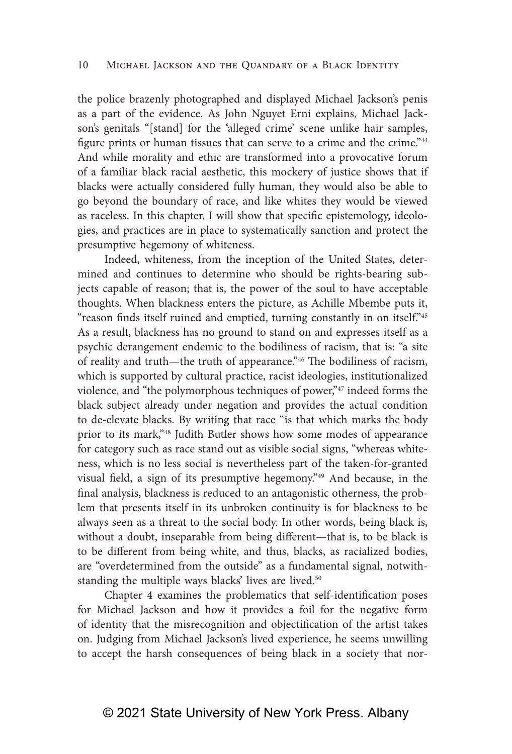the police brazenly photographed and displayed Michael Jackson's penis as a part of the evidence. As John Nguyet Erni explains, Michael Jackson's genitals "[stand] for the 'alleged crime' scene unlike hair samples, figure prints or human tissues that can serve to a crime and the crime."44 And while morality and ethic are transformed into a provocative forum of a familiar black racial aesthetic, this mockery of justice shows that if blacks were actually considered fully human, they would also be able to go beyond the boundary of race, and like whites they would be viewed as raceless. In this chapter, I will show that specific epistemology, ideologies, and practices are in place to systematically sanction and protect the presumptive hegemony of whiteness.

Indeed, whiteness, from the inception of the United States, determined and continues to determine who should be rights-bearing subjects capable of reason; that is, the power of the soul to have acceptable thoughts. When blackness enters the picture, as Achille Mbembe puts it, "reason finds itself ruined and emptied, turning constantly in on itself."<sup>45</sup> As a result, blackness has no ground to stand on and expresses itself as a psychic derangement endemic to the bodiliness of racism, that is: "a site of reality and truth—the truth of appearance."46 The bodiliness of racism, which is supported by cultural practice, racist ideologies, institutionalized violence, and "the polymorphous techniques of power,"47 indeed forms the black subject already under negation and provides the actual condition to de-elevate blacks. By writing that race "is that which marks the body prior to its mark,"48 Judith Butler shows how some modes of appearance for category such as race stand out as visible social signs, "whereas whiteness, which is no less social is nevertheless part of the taken-for-granted visual field, a sign of its presumptive hegemony."49 And because, in the final analysis, blackness is reduced to an antagonistic otherness, the problem that presents itself in its unbroken continuity is for blackness to be always seen as a threat to the social body. In other words, being black is, without a doubt, inseparable from being different—that is, to be black is to be different from being white, and thus, blacks, as racialized bodies, are "overdetermined from the outside" as a fundamental signal, notwithstanding the multiple ways blacks' lives are lived.<sup>50</sup>

Chapter 4 examines the problematics that self-identification poses for Michael Jackson and how it provides a foil for the negative form of identity that the misrecognition and objectification of the artist takes on. Judging from Michael Jackson's lived experience, he seems unwilling to accept the harsh consequences of being black in a society that nor-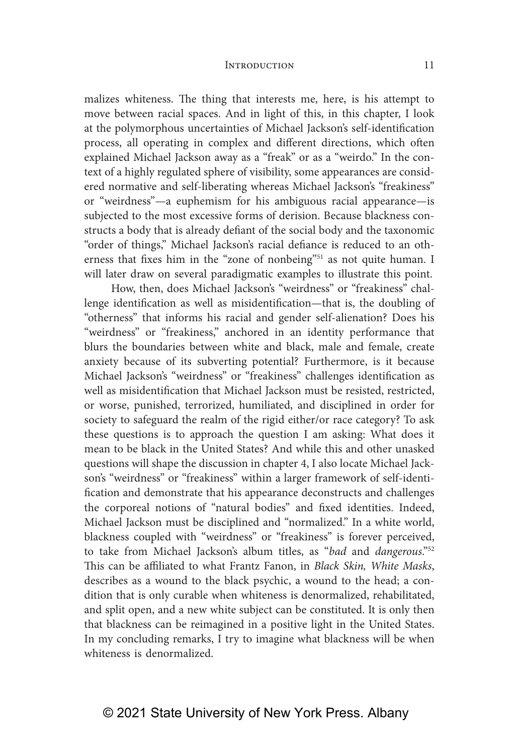malizes whiteness. The thing that interests me, here, is his attempt to move between racial spaces. And in light of this, in this chapter, I look at the polymorphous uncertainties of Michael Jackson's self-identification process, all operating in complex and different directions, which often explained Michael Jackson away as a "freak" or as a "weirdo." In the context of a highly regulated sphere of visibility, some appearances are considered normative and self-liberating whereas Michael Jackson's "freakiness" or "weirdness"—a euphemism for his ambiguous racial appearance—is subjected to the most excessive forms of derision. Because blackness constructs a body that is already defiant of the social body and the taxonomic "order of things," Michael Jackson's racial defiance is reduced to an otherness that fixes him in the "zone of nonbeing"<sup>51</sup> as not quite human. I will later draw on several paradigmatic examples to illustrate this point.

How, then, does Michael Jackson's "weirdness" or "freakiness" challenge identification as well as misidentification—that is, the doubling of "otherness" that informs his racial and gender self-alienation? Does his "weirdness" or "freakiness," anchored in an identity performance that blurs the boundaries between white and black, male and female, create anxiety because of its subverting potential? Furthermore, is it because Michael Jackson's "weirdness" or "freakiness" challenges identification as well as misidentification that Michael Jackson must be resisted, restricted, or worse, punished, terrorized, humiliated, and disciplined in order for society to safeguard the realm of the rigid either/or race category? To ask these questions is to approach the question I am asking: What does it mean to be black in the United States? And while this and other unasked questions will shape the discussion in chapter 4, I also locate Michael Jackson's "weirdness" or "freakiness" within a larger framework of self-identification and demonstrate that his appearance deconstructs and challenges the corporeal notions of "natural bodies" and fixed identities. Indeed, Michael Jackson must be disciplined and "normalized." In a white world, blackness coupled with "weirdness" or "freakiness" is forever perceived, to take from Michael Jackson's album titles, as "*bad* and *dangerous*."52 This can be affiliated to what Frantz Fanon, in *Black Skin, White Masks*, describes as a wound to the black psychic, a wound to the head; a condition that is only curable when whiteness is denormalized, rehabilitated, and split open, and a new white subject can be constituted. It is only then that blackness can be reimagined in a positive light in the United States. In my concluding remarks, I try to imagine what blackness will be when whiteness is denormalized.

# © 2021 State University of New York Press. Albany